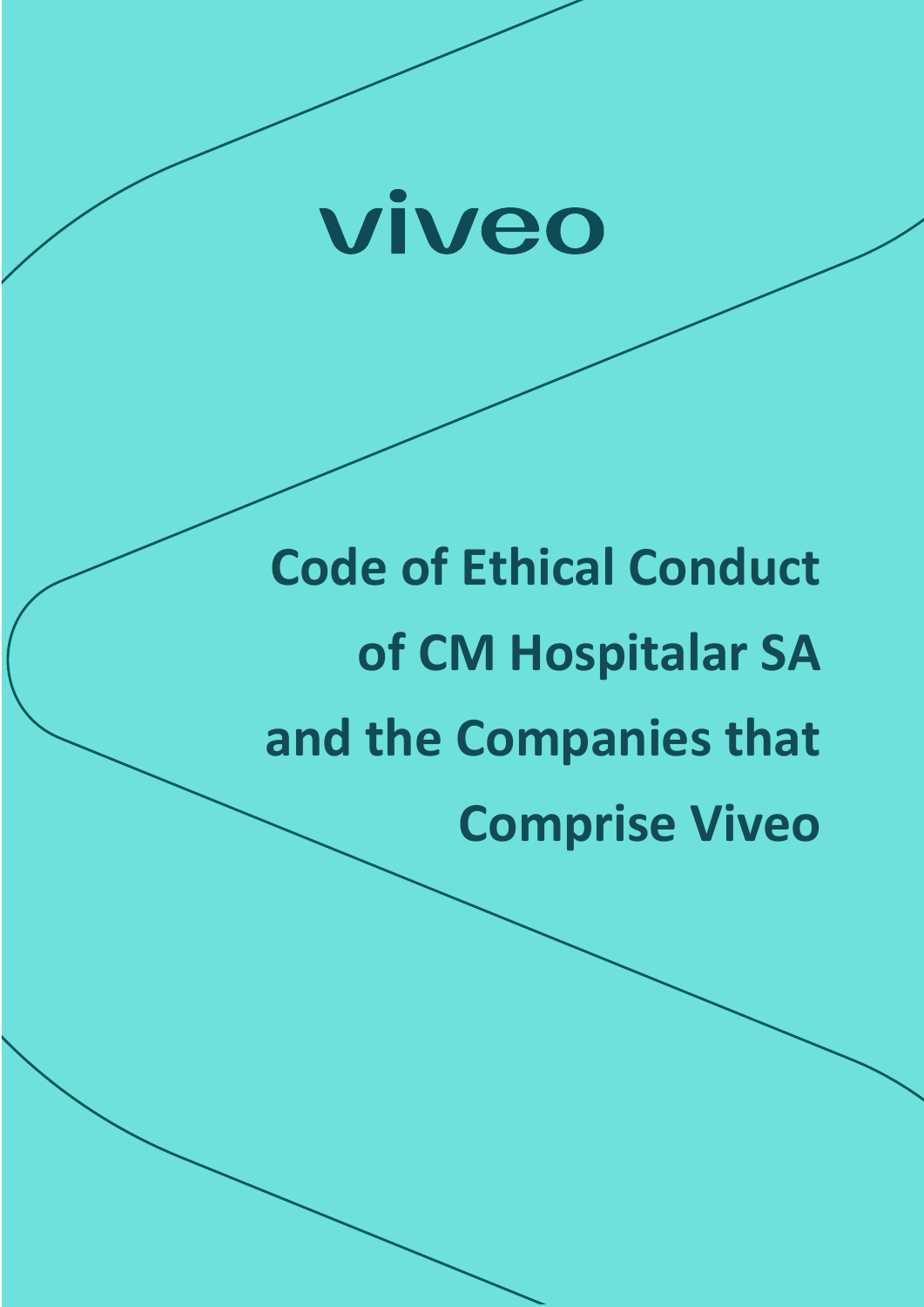

# **Code of Ethical Conduct of CM Hospitalar SA and the Companies that Comprise Viveo**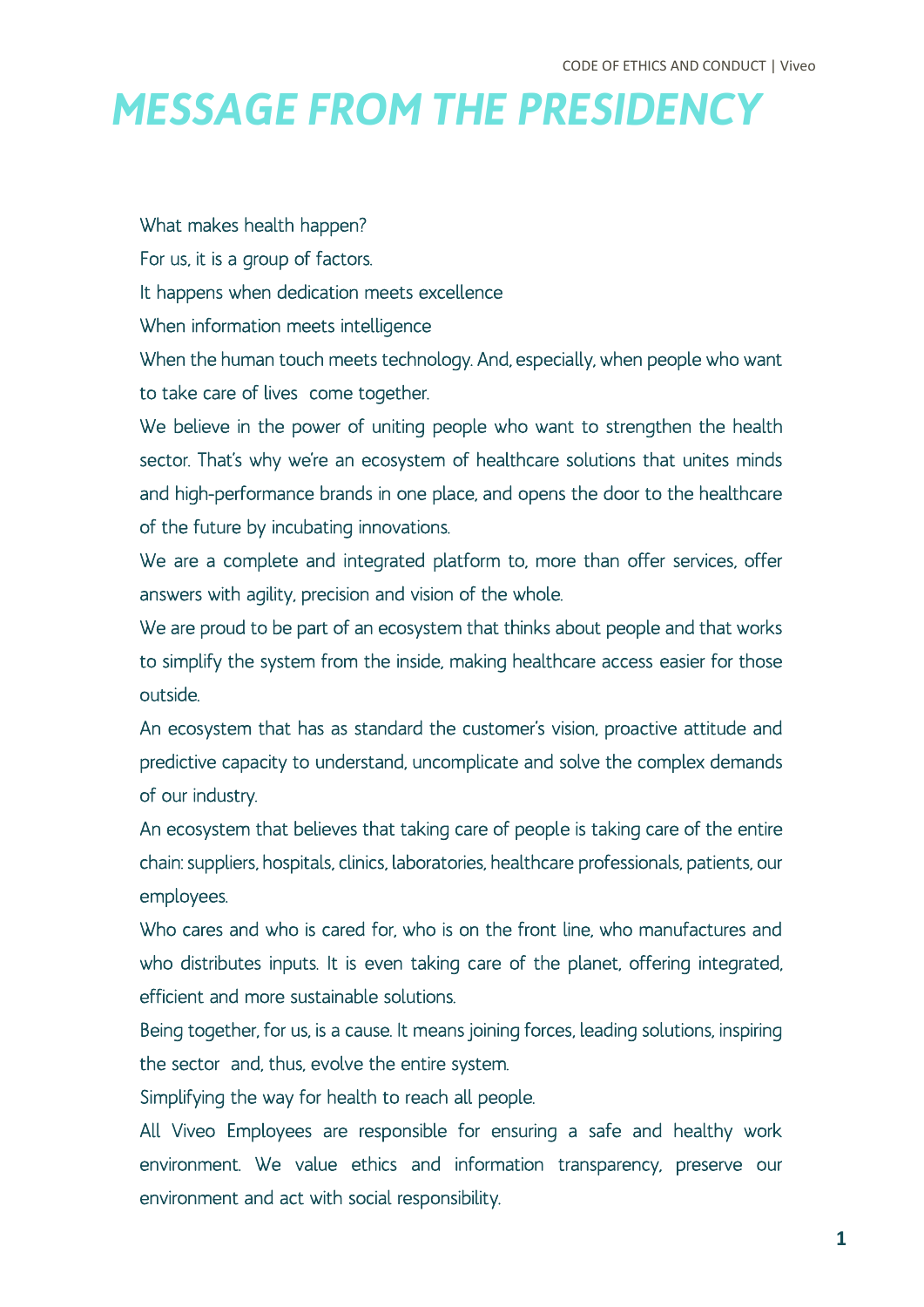# *MESSAGE FROM THE PRESIDENCY*

What makes health happen?

For us, it is a group of factors.

It happens when dedication meets excellence

When information meets intelligence

When the human touch meets technology. And, especially, when people who want to take care of lives come together.

We believe in the power of uniting people who want to strengthen the health sector. That's why we're an ecosystem of healthcare solutions that unites minds and high-performance brands in one place, and opens the door to the healthcare of the future by incubating innovations.

We are a complete and integrated platform to, more than offer services, offer answers with agility, precision and vision of the whole.

We are proud to be part of an ecosystem that thinks about people and that works to simplify the system from the inside, making healthcare access easier for those outside.

An ecosystem that has as standard the customer's vision, proactive attitude and predictive capacity to understand, uncomplicate and solve the complex demands of our industry.

An ecosystem that believes that taking care of people is taking care of the entire chain: suppliers, hospitals, clinics, laboratories, healthcare professionals, patients, our employees.

Who cares and who is cared for, who is on the front line, who manufactures and who distributes inputs. It is even taking care of the planet, offering integrated, efficient and more sustainable solutions.

Being together, for us, is a cause. It means joining forces, leading solutions, inspiring the sector and, thus, evolve the entire system.

Simplifying the way for health to reach all people.

All Viveo Employees are responsible for ensuring a safe and healthy work environment. We value ethics and information transparency, preserve our environment and act with social responsibility.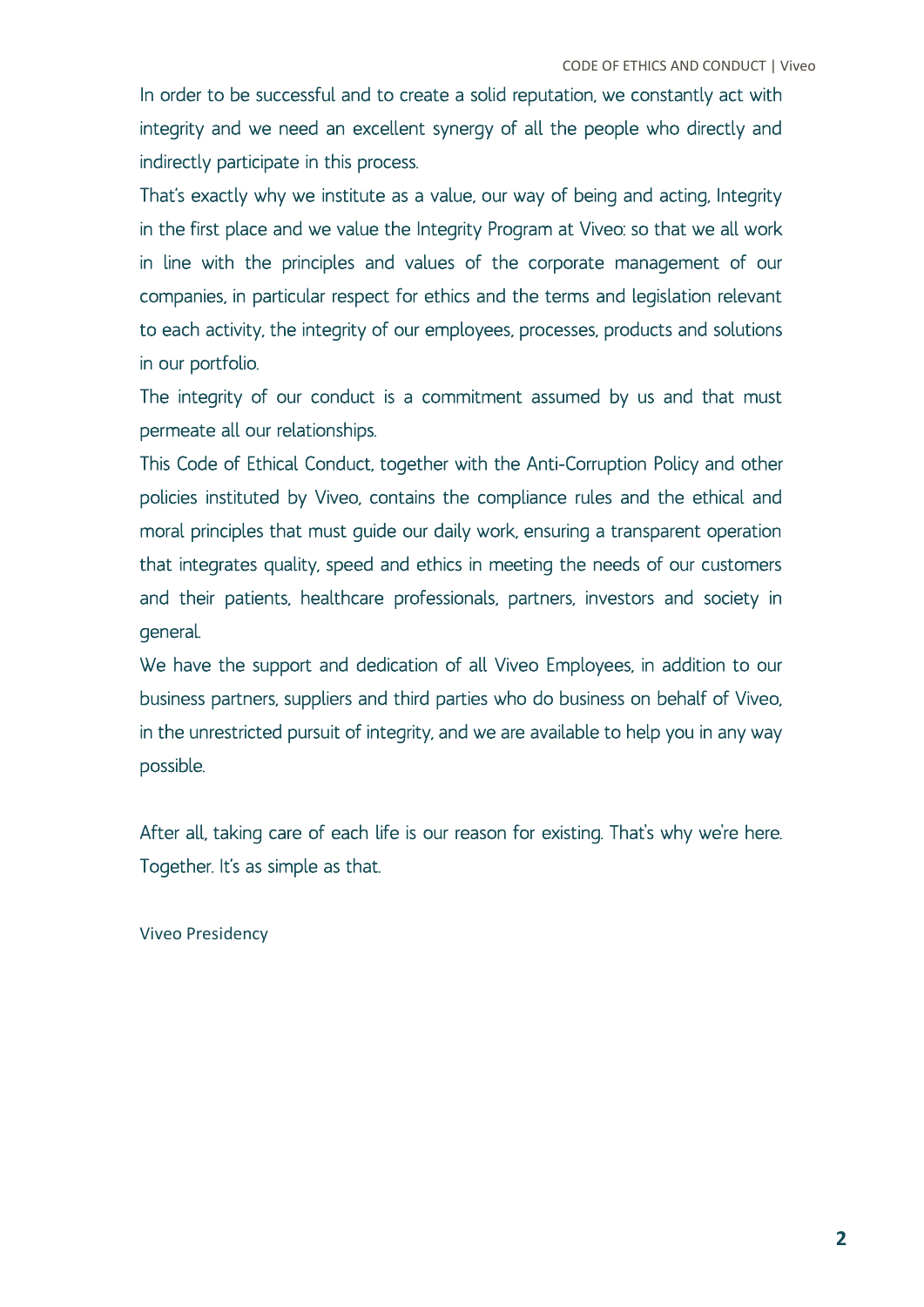In order to be successful and to create a solid reputation, we constantly act with integrity and we need an excellent synergy of all the people who directly and indirectly participate in this process.

That's exactly why we institute as a value, our way of being and acting, Integrity in the first place and we value the Integrity Program at Viveo: so that we all work in line with the principles and values of the corporate management of our companies, in particular respect for ethics and the terms and legislation relevant to each activity, the integrity of our employees, processes, products and solutions in our portfolio.

The integrity of our conduct is a commitment assumed by us and that must permeate all our relationships.

This Code of Ethical Conduct, together with the Anti-Corruption Policy and other policies instituted by Viveo, contains the compliance rules and the ethical and moral principles that must guide our daily work, ensuring a transparent operation that integrates quality, speed and ethics in meeting the needs of our customers and their patients, healthcare professionals, partners, investors and society in general.

We have the support and dedication of all Viveo Employees, in addition to our business partners, suppliers and third parties who do business on behalf of Viveo, in the unrestricted pursuit of integrity, and we are available to help you in any way possible.

After all, taking care of each life is our reason for existing. That's why we're here. Together. It's as simple as that.

#### Viveo Presidency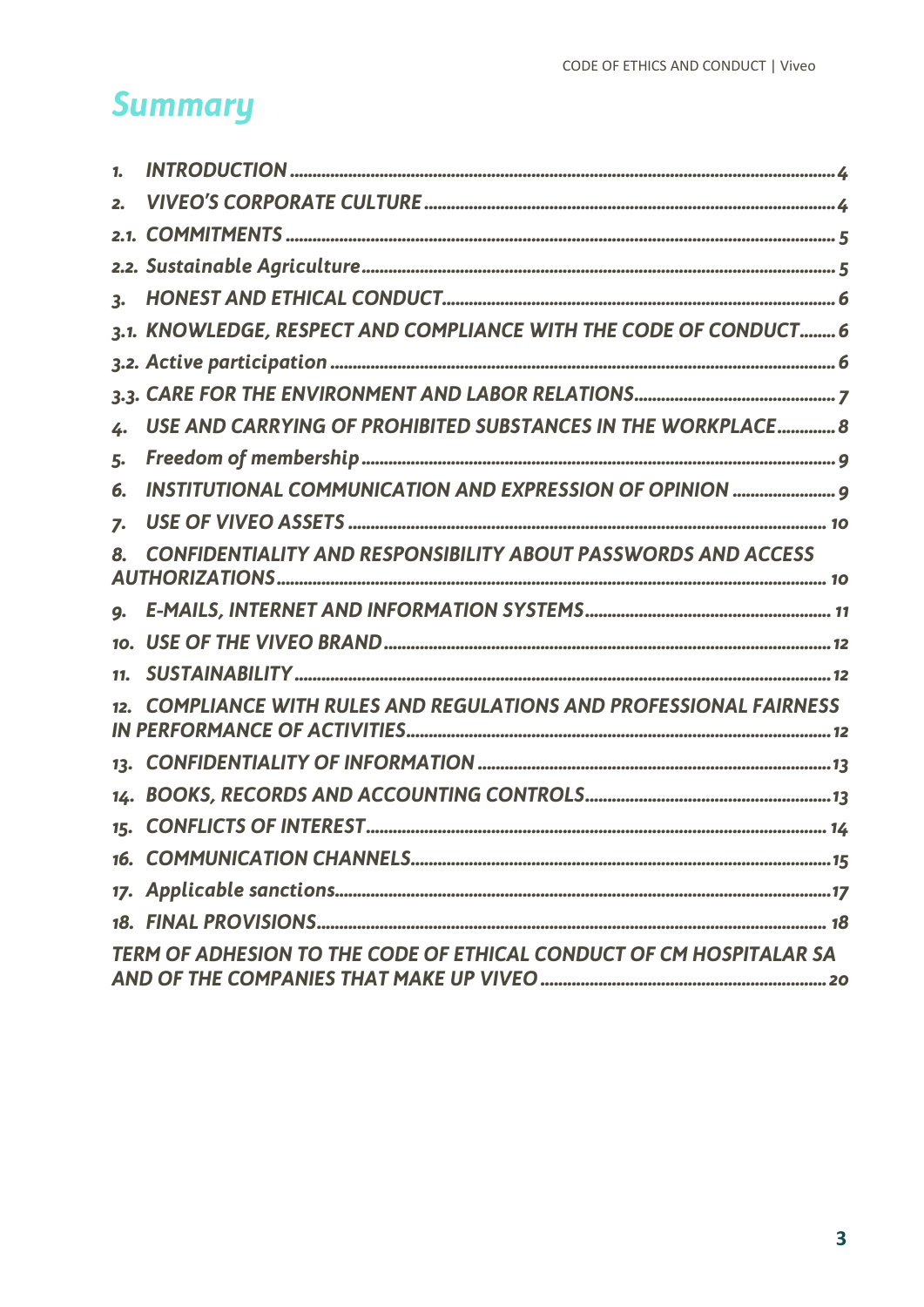# **Summary**

| 1.  |                                                                        |
|-----|------------------------------------------------------------------------|
| 2.  |                                                                        |
|     |                                                                        |
|     |                                                                        |
| 3.  |                                                                        |
|     | 3.1. KNOWLEDGE, RESPECT AND COMPLIANCE WITH THE CODE OF CONDUCT 6      |
|     |                                                                        |
|     |                                                                        |
| 4.  | USE AND CARRYING OF PROHIBITED SUBSTANCES IN THE WORKPLACE 8           |
| 5.  |                                                                        |
| 6.  | INSTITUTIONAL COMMUNICATION AND EXPRESSION OF OPINION  9               |
| 7.  |                                                                        |
|     | <b>CONFIDENTIALITY AND RESPONSIBILITY ABOUT PASSWORDS AND ACCESS</b>   |
| 9.  |                                                                        |
| 10. |                                                                        |
| 11. |                                                                        |
|     | <b>COMPLIANCE WITH RULES AND REGULATIONS AND PROFESSIONAL FAIRNESS</b> |
| 13. |                                                                        |
| 14. |                                                                        |
| 15. |                                                                        |
|     |                                                                        |
|     |                                                                        |
|     |                                                                        |
|     | TERM OF ADHESION TO THE CODE OF ETHICAL CONDUCT OF CM HOSPITALAR SA    |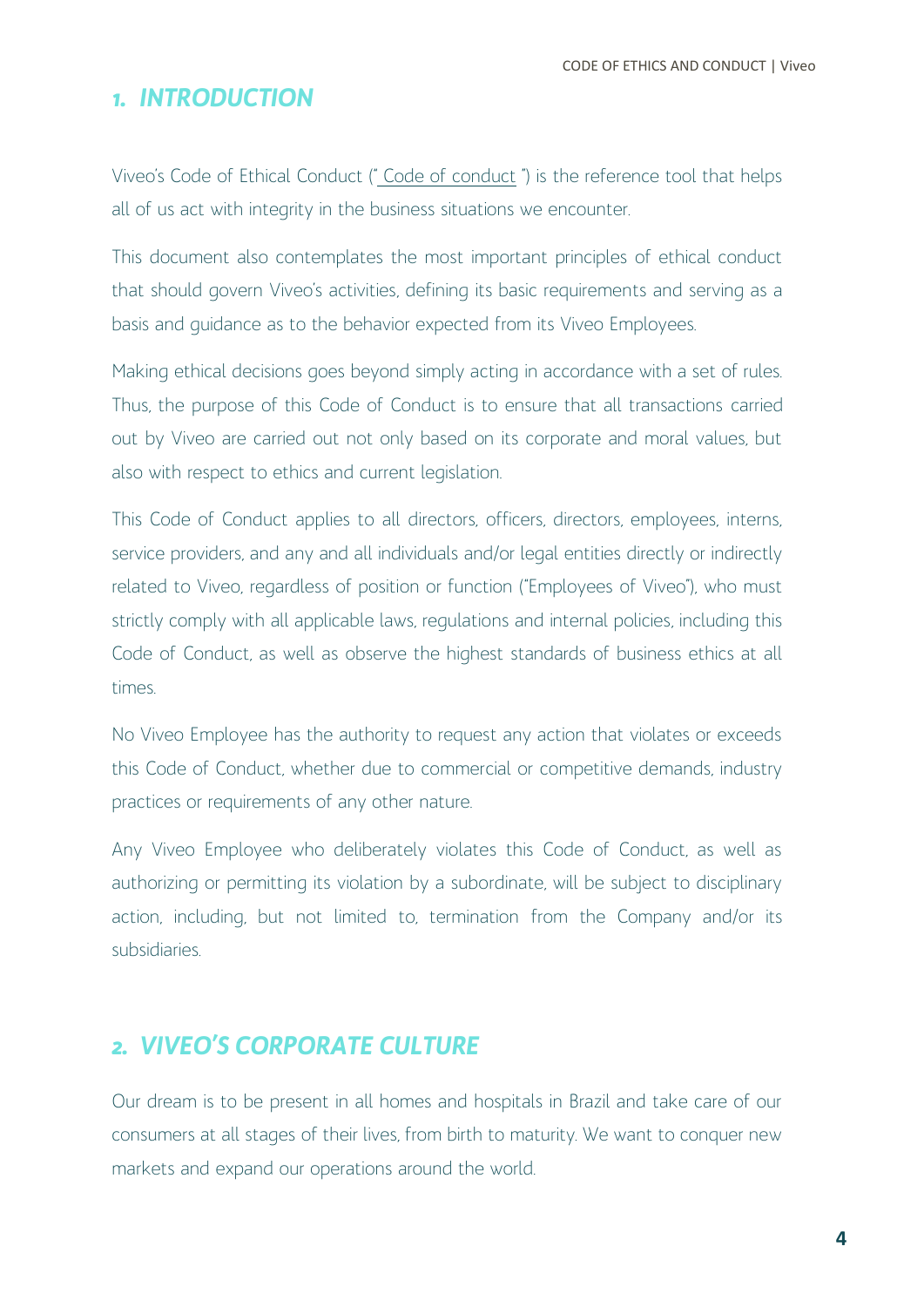CODE OF ETHICS AND CONDUCT | Viveo

#### <span id="page-4-0"></span>*1. INTRODUCTION*

Viveo's Code of Ethical Conduct (" Code of conduct ") is the reference tool that helps all of us act with integrity in the business situations we encounter.

This document also contemplates the most important principles of ethical conduct that should govern Viveo's activities, defining its basic requirements and serving as a basis and guidance as to the behavior expected from its Viveo Employees.

Making ethical decisions goes beyond simply acting in accordance with a set of rules. Thus, the purpose of this Code of Conduct is to ensure that all transactions carried out by Viveo are carried out not only based on its corporate and moral values, but also with respect to ethics and current legislation.

This Code of Conduct applies to all directors, officers, directors, employees, interns, service providers, and any and all individuals and/or legal entities directly or indirectly related to Viveo, regardless of position or function ("Employees of Viveo"), who must strictly comply with all applicable laws, regulations and internal policies, including this Code of Conduct, as well as observe the highest standards of business ethics at all times.

No Viveo Employee has the authority to request any action that violates or exceeds this Code of Conduct, whether due to commercial or competitive demands, industry practices or requirements of any other nature.

Any Viveo Employee who deliberately violates this Code of Conduct, as well as authorizing or permitting its violation by a subordinate, will be subject to disciplinary action, including, but not limited to, termination from the Company and/or its subsidiaries.

#### <span id="page-4-1"></span>*2. VIVEO'S CORPORATE CULTURE*

Our dream is to be present in all homes and hospitals in Brazil and take care of our consumers at all stages of their lives, from birth to maturity. We want to conquer new markets and expand our operations around the world.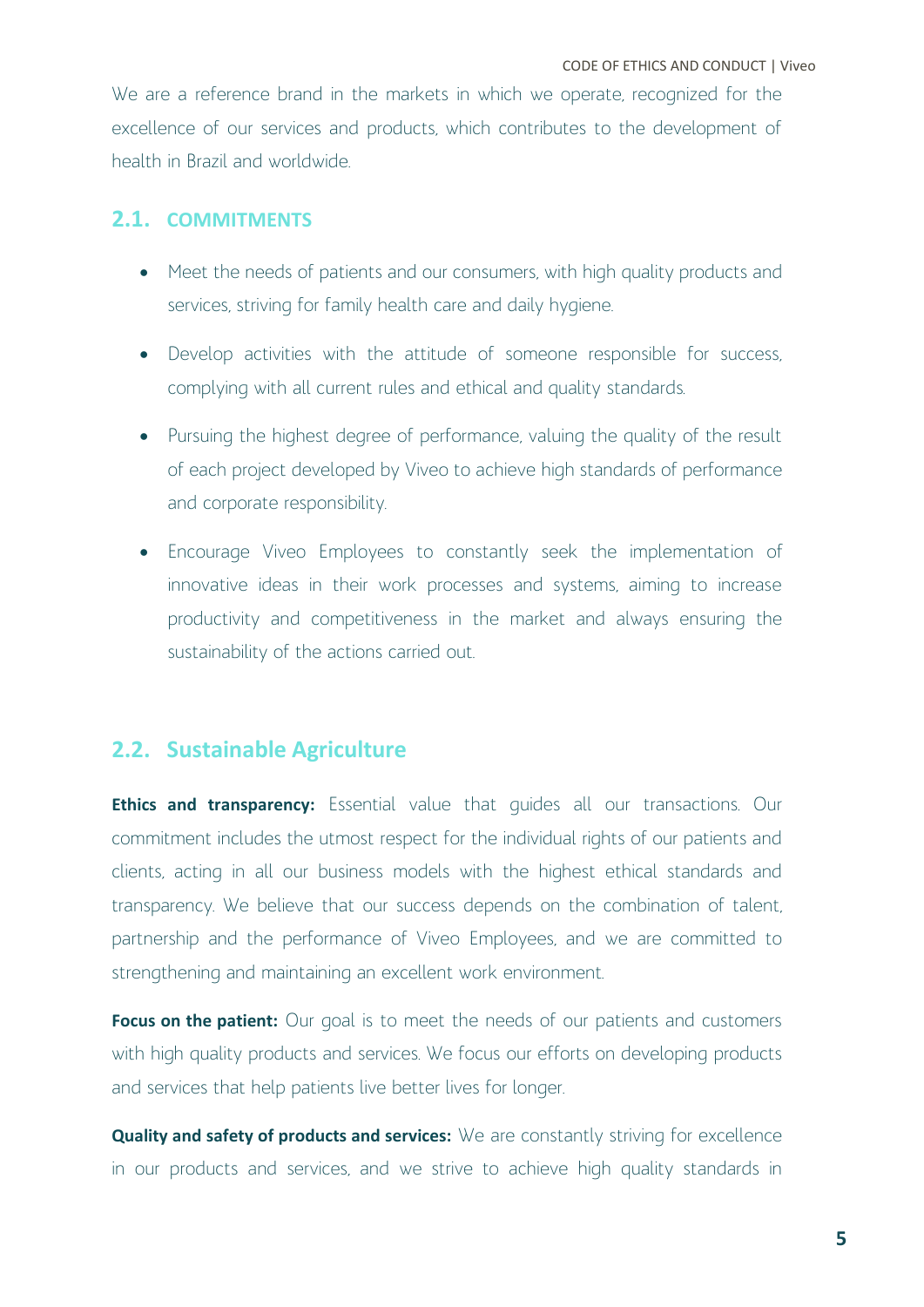We are a reference brand in the markets in which we operate, recognized for the excellence of our services and products, which contributes to the development of health in Brazil and worldwide.

#### <span id="page-5-0"></span>**2.1. COMMITMENTS**

- Meet the needs of patients and our consumers, with high quality products and services, striving for family health care and daily hygiene.
- Develop activities with the attitude of someone responsible for success, complying with all current rules and ethical and quality standards.
- Pursuing the highest degree of performance, valuing the quality of the result of each project developed by Viveo to achieve high standards of performance and corporate responsibility.
- Encourage Viveo Employees to constantly seek the implementation of innovative ideas in their work processes and systems, aiming to increase productivity and competitiveness in the market and always ensuring the sustainability of the actions carried out.

#### <span id="page-5-1"></span>**2.2. Sustainable Agriculture**

**Ethics and transparency:** Essential value that quides all our transactions. Our commitment includes the utmost respect for the individual rights of our patients and clients, acting in all our business models with the highest ethical standards and transparency. We believe that our success depends on the combination of talent, partnership and the performance of Viveo Employees, and we are committed to strengthening and maintaining an excellent work environment.

Focus on the patient: Our goal is to meet the needs of our patients and customers with high quality products and services. We focus our efforts on developing products and services that help patients live better lives for longer.

**Quality and safety of products and services:** We are constantly striving for excellence in our products and services, and we strive to achieve high quality standards in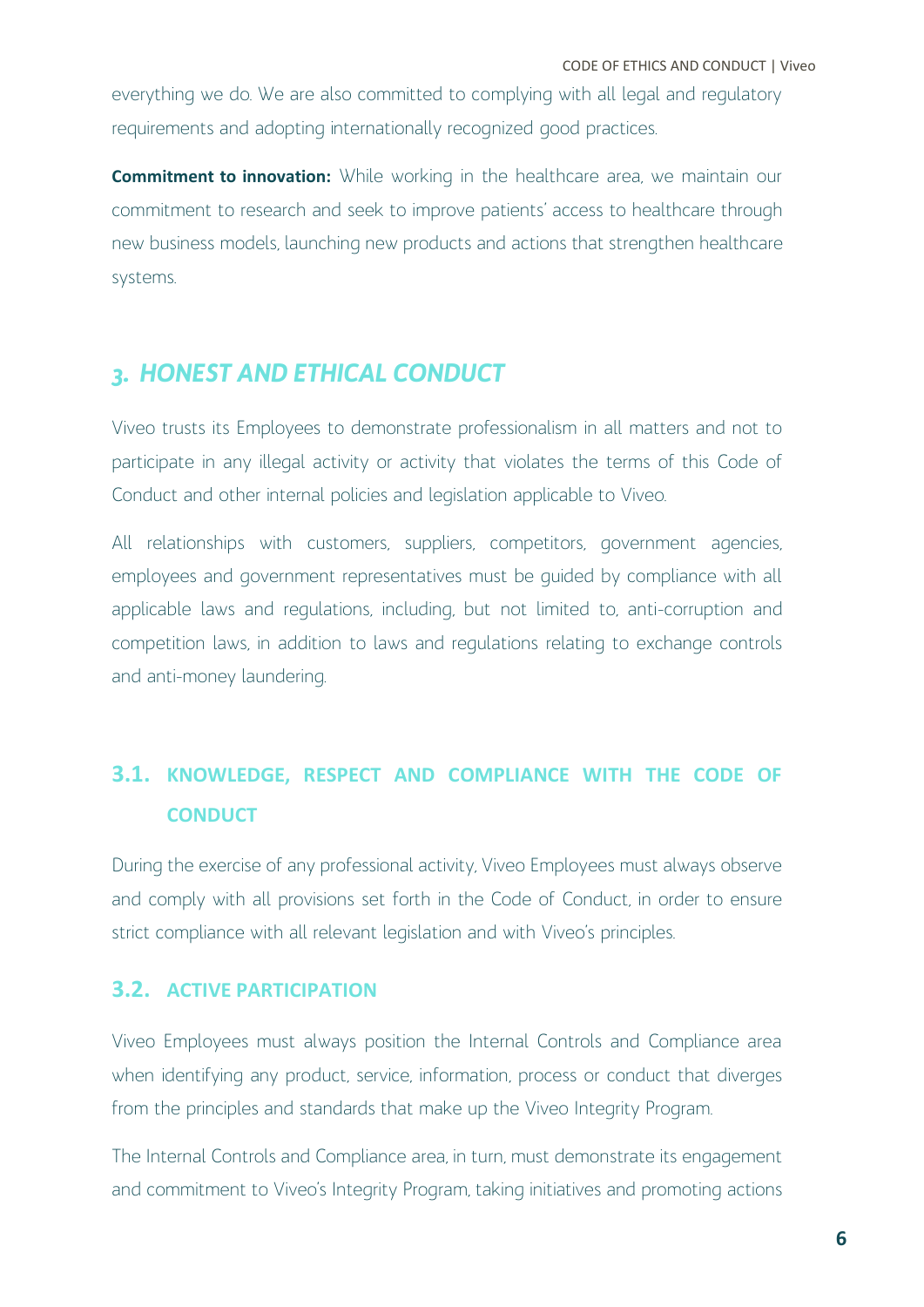everything we do. We are also committed to complying with all legal and regulatory requirements and adopting internationally recognized good practices.

**Commitment to innovation:** While working in the healthcare area, we maintain our commitment to research and seek to improve patients' access to healthcare through new business models, launching new products and actions that strengthen healthcare systems.

## <span id="page-6-0"></span>*3. HONEST AND ETHICAL CONDUCT*

Viveo trusts its Employees to demonstrate professionalism in all matters and not to participate in any illegal activity or activity that violates the terms of this Code of Conduct and other internal policies and legislation applicable to Viveo.

All relationships with customers, suppliers, competitors, government agencies, employees and government representatives must be guided by compliance with all applicable laws and regulations, including, but not limited to, anti-corruption and competition laws, in addition to laws and regulations relating to exchange controls and anti-money laundering.

## <span id="page-6-1"></span>**3.1. KNOWLEDGE, RESPECT AND COMPLIANCE WITH THE CODE OF CONDUCT**

During the exercise of any professional activity, Viveo Employees must always observe and comply with all provisions set forth in the Code of Conduct, in order to ensure strict compliance with all relevant legislation and with Viveo's principles.

#### <span id="page-6-2"></span>**3.2. ACTIVE PARTICIPATION**

Viveo Employees must always position the Internal Controls and Compliance area when identifying any product, service, information, process or conduct that diverges from the principles and standards that make up the Viveo Integrity Program.

The Internal Controls and Compliance area, in turn, must demonstrate its engagement and commitment to Viveo's Integrity Program, taking initiatives and promoting actions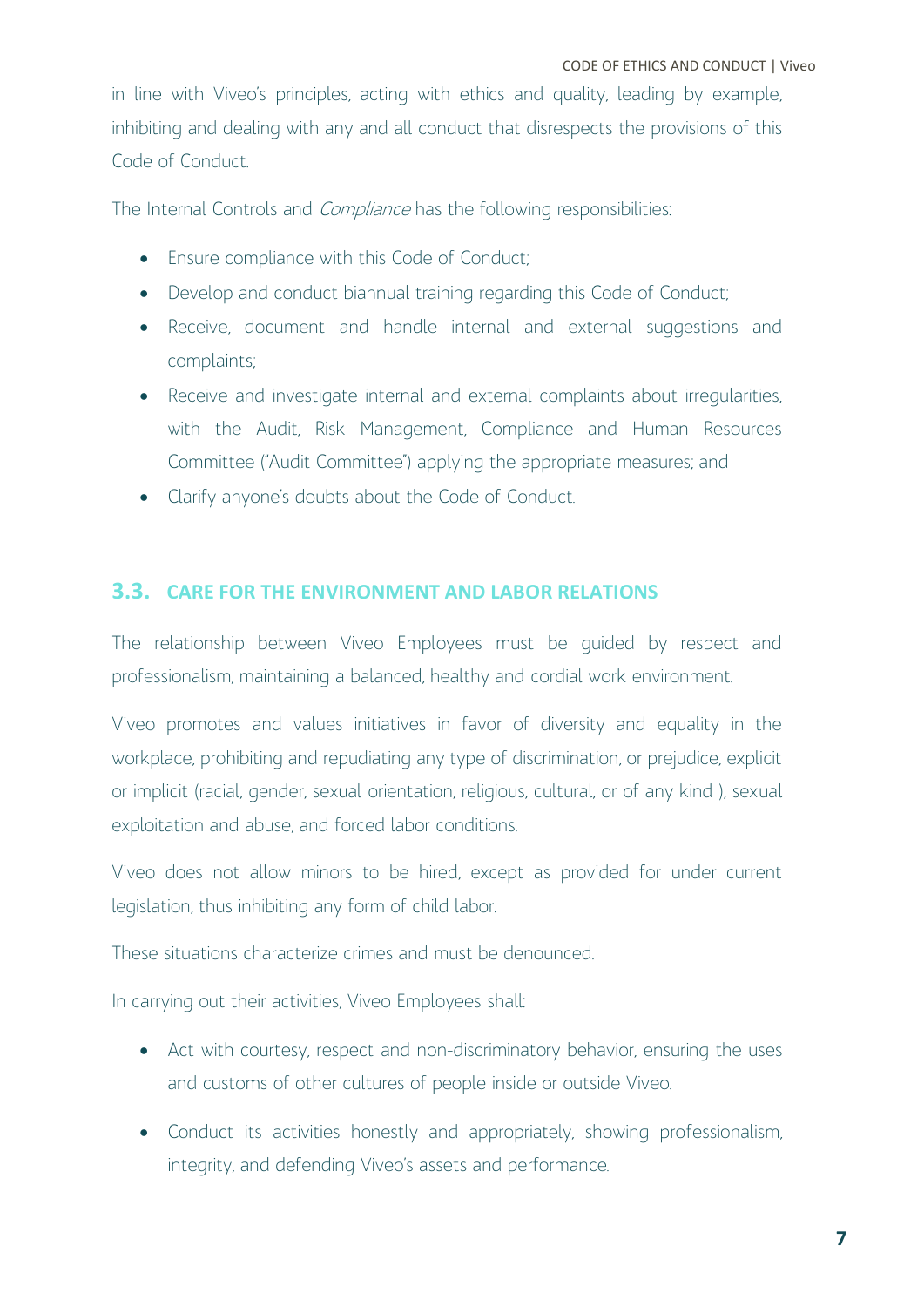in line with Viveo's principles, acting with ethics and quality, leading by example, inhibiting and dealing with any and all conduct that disrespects the provisions of this Code of Conduct.

The Internal Controls and *Compliance* has the following responsibilities:

- Ensure compliance with this Code of Conduct;
- Develop and conduct biannual training regarding this Code of Conduct;
- Receive, document and handle internal and external suggestions and complaints;
- Receive and investigate internal and external complaints about irregularities, with the Audit, Risk Management, Compliance and Human Resources Committee ("Audit Committee") applying the appropriate measures; and
- Clarify anyone's doubts about the Code of Conduct.

#### <span id="page-7-0"></span>**3.3. CARE FOR THE ENVIRONMENT AND LABOR RELATIONS**

The relationship between Viveo Employees must be guided by respect and professionalism, maintaining a balanced, healthy and cordial work environment.

Viveo promotes and values initiatives in favor of diversity and equality in the workplace, prohibiting and repudiating any type of discrimination, or prejudice, explicit or implicit (racial, gender, sexual orientation, religious, cultural, or of any kind ), sexual exploitation and abuse, and forced labor conditions.

Viveo does not allow minors to be hired, except as provided for under current legislation, thus inhibiting any form of child labor.

These situations characterize crimes and must be denounced.

In carrying out their activities, Viveo Employees shall:

- Act with courtesy, respect and non-discriminatory behavior, ensuring the uses and customs of other cultures of people inside or outside Viveo.
- Conduct its activities honestly and appropriately, showing professionalism, integrity, and defending Viveo's assets and performance.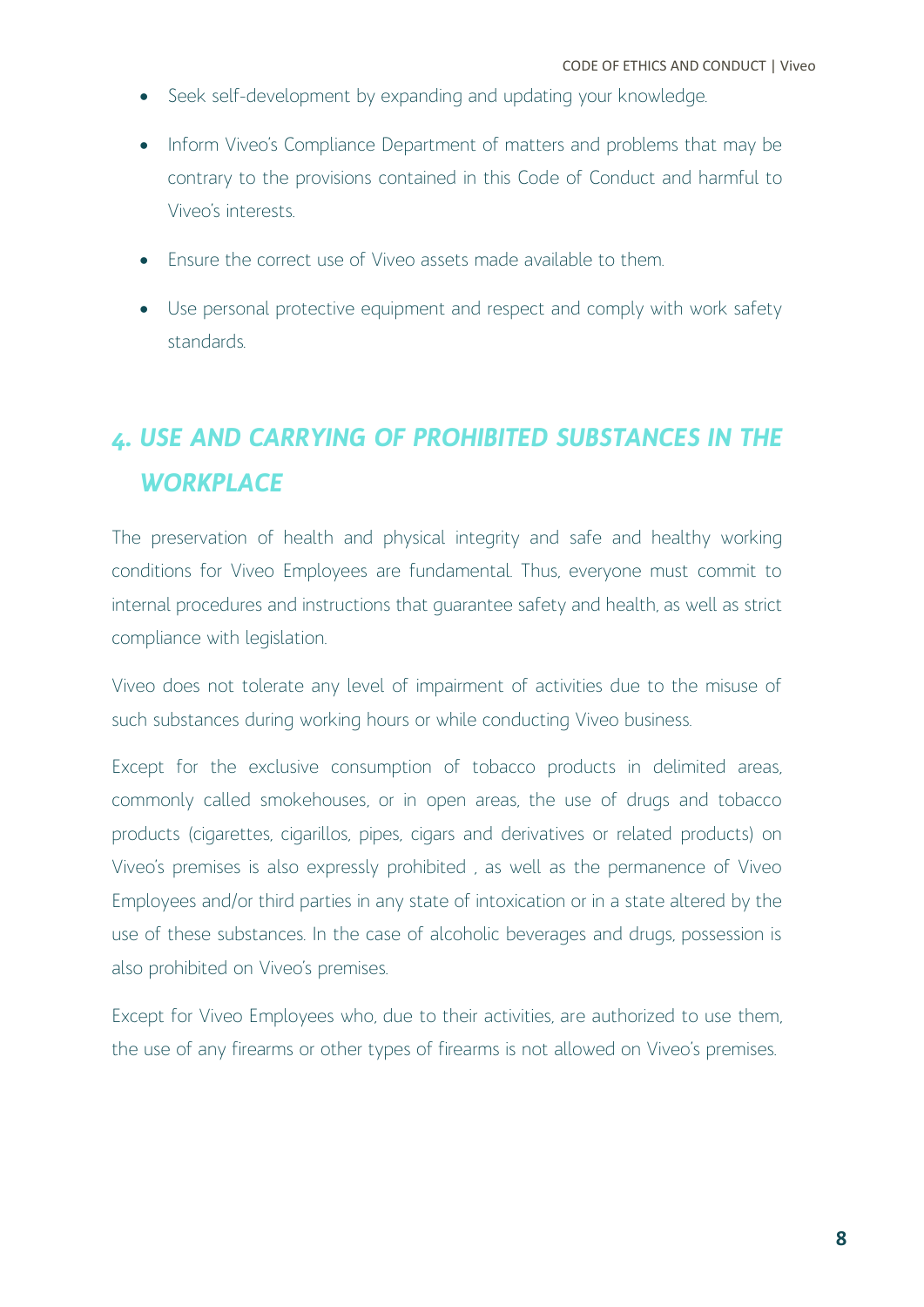- Seek self-development by expanding and updating your knowledge.
- Inform Viveo's Compliance Department of matters and problems that may be contrary to the provisions contained in this Code of Conduct and harmful to Viveo's interests.
- Ensure the correct use of Viveo assets made available to them.
- Use personal protective equipment and respect and comply with work safety standards.

# <span id="page-8-0"></span>*4. USE AND CARRYING OF PROHIBITED SUBSTANCES IN THE WORKPLACE*

The preservation of health and physical integrity and safe and healthy working conditions for Viveo Employees are fundamental. Thus, everyone must commit to internal procedures and instructions that guarantee safety and health, as well as strict compliance with legislation.

Viveo does not tolerate any level of impairment of activities due to the misuse of such substances during working hours or while conducting Viveo business.

Except for the exclusive consumption of tobacco products in delimited areas, commonly called smokehouses, or in open areas, the use of drugs and tobacco products (cigarettes, cigarillos, pipes, cigars and derivatives or related products) on Viveo's premises is also expressly prohibited , as well as the permanence of Viveo Employees and/or third parties in any state of intoxication or in a state altered by the use of these substances. In the case of alcoholic beverages and drugs, possession is also prohibited on Viveo's premises.

Except for Viveo Employees who, due to their activities, are authorized to use them, the use of any firearms or other types of firearms is not allowed on Viveo's premises.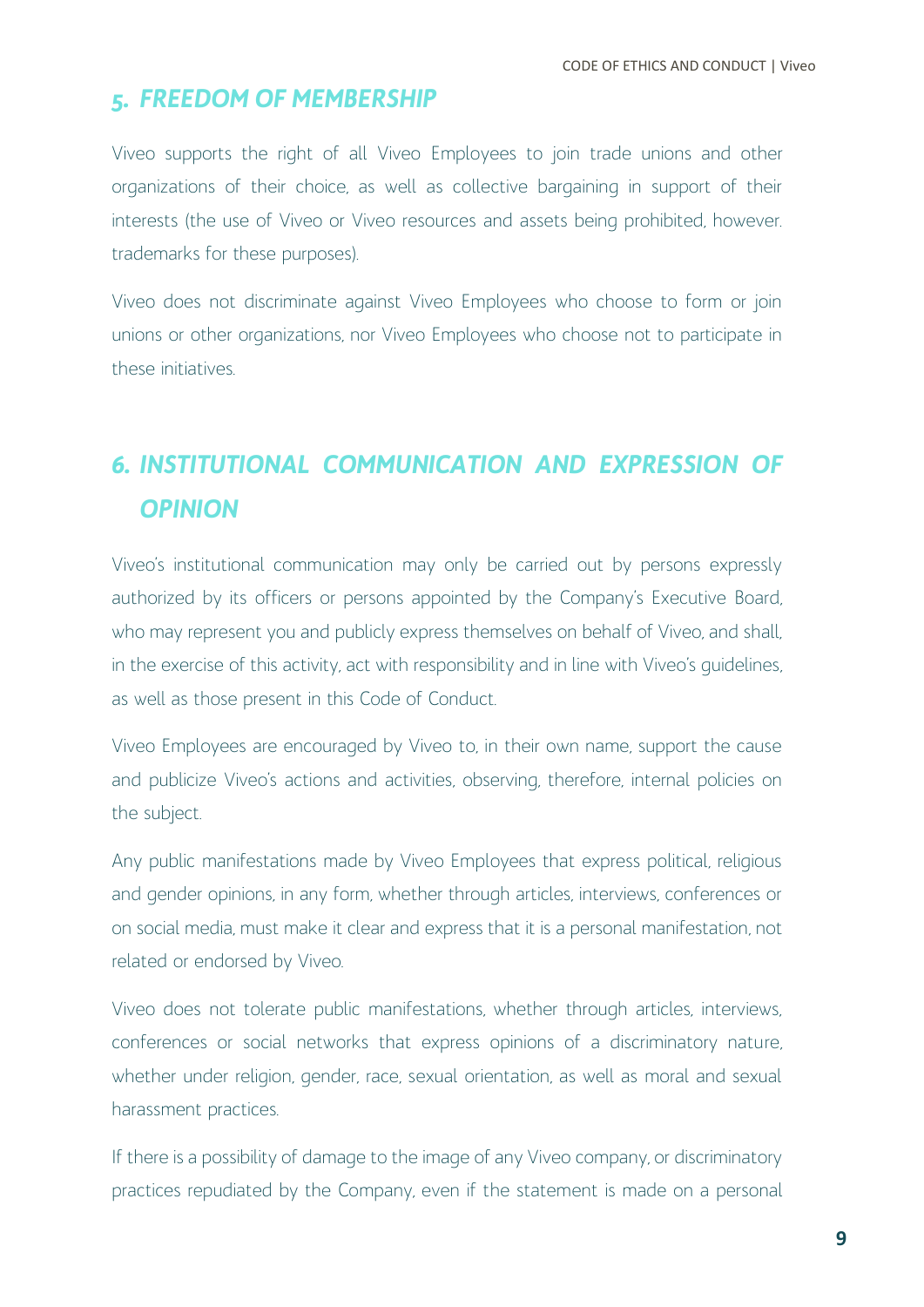#### <span id="page-9-0"></span>*5. FREEDOM OF MEMBERSHIP*

Viveo supports the right of all Viveo Employees to join trade unions and other organizations of their choice, as well as collective bargaining in support of their interests (the use of Viveo or Viveo resources and assets being prohibited, however. trademarks for these purposes).

Viveo does not discriminate against Viveo Employees who choose to form or join unions or other organizations, nor Viveo Employees who choose not to participate in these initiatives.

## <span id="page-9-1"></span>*6. INSTITUTIONAL COMMUNICATION AND EXPRESSION OF OPINION*

Viveo's institutional communication may only be carried out by persons expressly authorized by its officers or persons appointed by the Company's Executive Board, who may represent you and publicly express themselves on behalf of Viveo, and shall, in the exercise of this activity, act with responsibility and in line with Viveo's guidelines, as well as those present in this Code of Conduct.

Viveo Employees are encouraged by Viveo to, in their own name, support the cause and publicize Viveo's actions and activities, observing, therefore, internal policies on the subject.

Any public manifestations made by Viveo Employees that express political, religious and gender opinions, in any form, whether through articles, interviews, conferences or on social media, must make it clear and express that it is a personal manifestation, not related or endorsed by Viveo.

Viveo does not tolerate public manifestations, whether through articles, interviews, conferences or social networks that express opinions of a discriminatory nature, whether under religion, gender, race, sexual orientation, as well as moral and sexual harassment practices.

If there is a possibility of damage to the image of any Viveo company, or discriminatory practices repudiated by the Company, even if the statement is made on a personal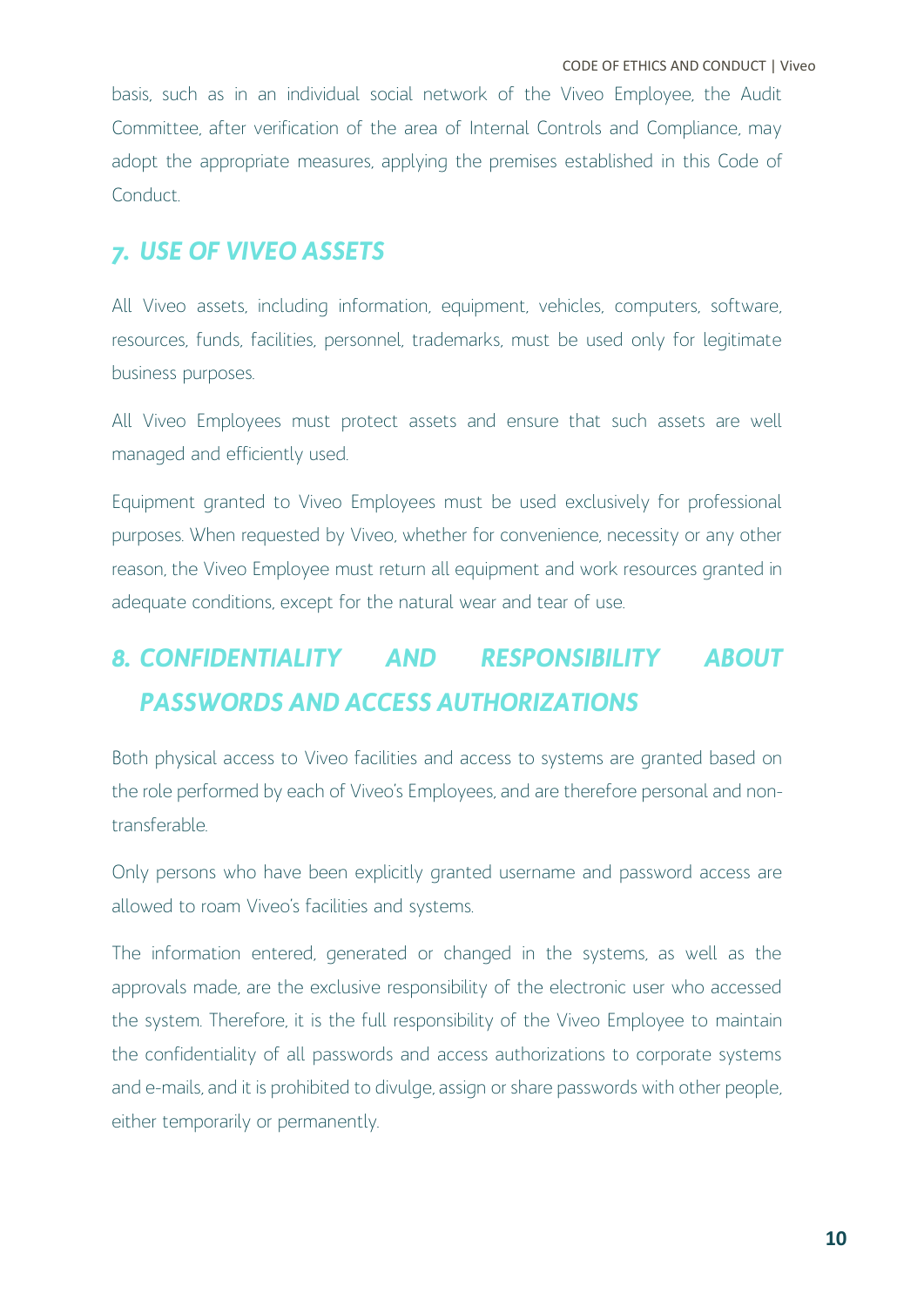basis, such as in an individual social network of the Viveo Employee, the Audit Committee, after verification of the area of Internal Controls and Compliance, may adopt the appropriate measures, applying the premises established in this Code of Conduct.

#### <span id="page-10-0"></span>*7. USE OF VIVEO ASSETS*

All Viveo assets, including information, equipment, vehicles, computers, software, resources, funds, facilities, personnel, trademarks, must be used only for legitimate business purposes.

All Viveo Employees must protect assets and ensure that such assets are well managed and efficiently used.

Equipment granted to Viveo Employees must be used exclusively for professional purposes. When requested by Viveo, whether for convenience, necessity or any other reason, the Viveo Employee must return all equipment and work resources granted in adequate conditions, except for the natural wear and tear of use.

# <span id="page-10-1"></span>*8. CONFIDENTIALITY AND RESPONSIBILITY ABOUT PASSWORDS AND ACCESS AUTHORIZATIONS*

Both physical access to Viveo facilities and access to systems are granted based on the role performed by each of Viveo's Employees, and are therefore personal and nontransferable.

Only persons who have been explicitly granted username and password access are allowed to roam Viveo's facilities and systems.

The information entered, generated or changed in the systems, as well as the approvals made, are the exclusive responsibility of the electronic user who accessed the system. Therefore, it is the full responsibility of the Viveo Employee to maintain the confidentiality of all passwords and access authorizations to corporate systems and e-mails, and it is prohibited to divulge, assign or share passwords with other people, either temporarily or permanently.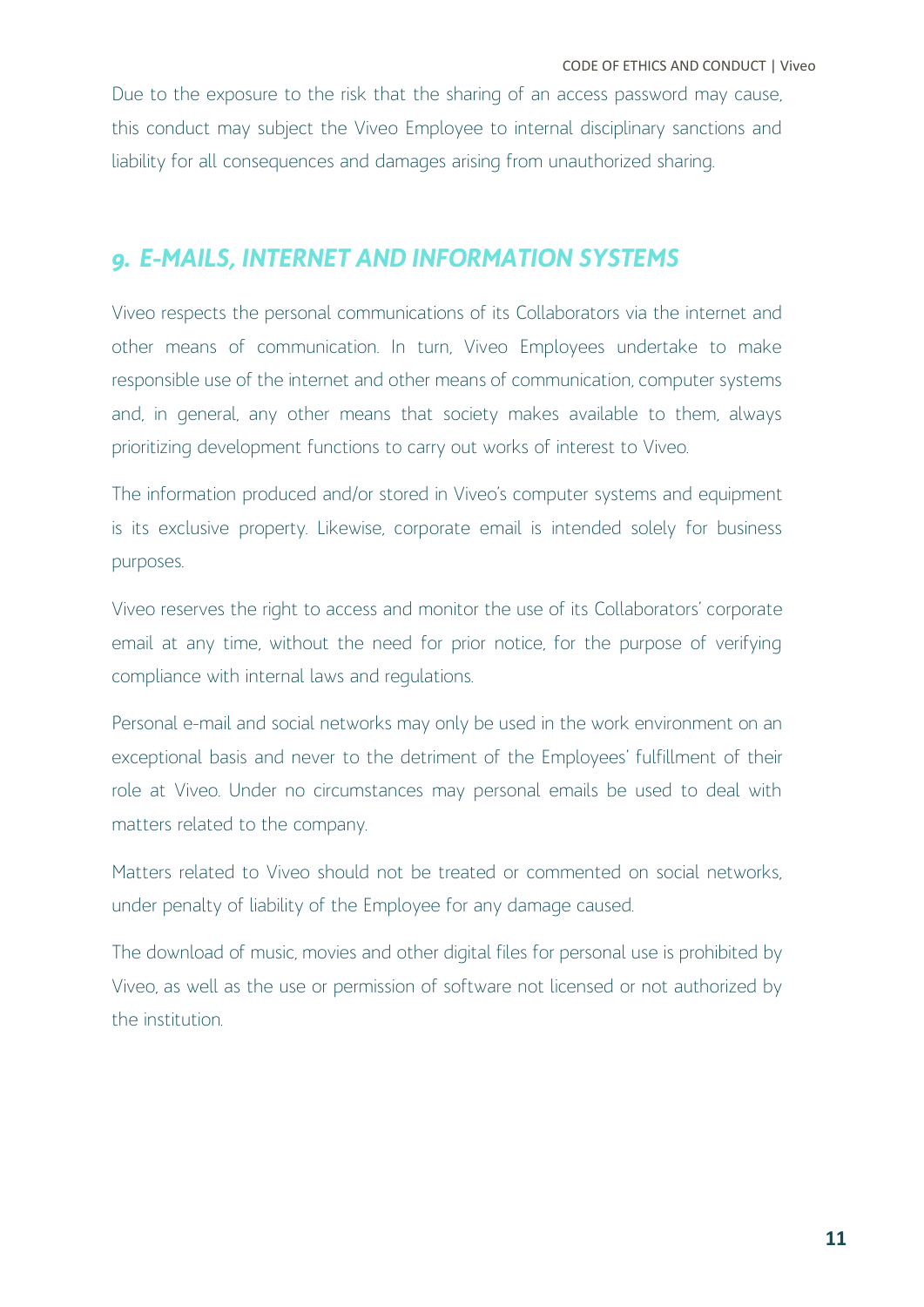Due to the exposure to the risk that the sharing of an access password may cause, this conduct may subject the Viveo Employee to internal disciplinary sanctions and liability for all consequences and damages arising from unauthorized sharing.

#### <span id="page-11-0"></span>*9. E-MAILS, INTERNET AND INFORMATION SYSTEMS*

Viveo respects the personal communications of its Collaborators via the internet and other means of communication. In turn, Viveo Employees undertake to make responsible use of the internet and other means of communication, computer systems and, in general, any other means that society makes available to them, always prioritizing development functions to carry out works of interest to Viveo.

The information produced and/or stored in Viveo's computer systems and equipment is its exclusive property. Likewise, corporate email is intended solely for business purposes.

Viveo reserves the right to access and monitor the use of its Collaborators' corporate email at any time, without the need for prior notice, for the purpose of verifying compliance with internal laws and regulations.

Personal e-mail and social networks may only be used in the work environment on an exceptional basis and never to the detriment of the Employees' fulfillment of their role at Viveo. Under no circumstances may personal emails be used to deal with matters related to the company.

Matters related to Viveo should not be treated or commented on social networks, under penalty of liability of the Employee for any damage caused.

The download of music, movies and other digital files for personal use is prohibited by Viveo, as well as the use or permission of software not licensed or not authorized by the institution.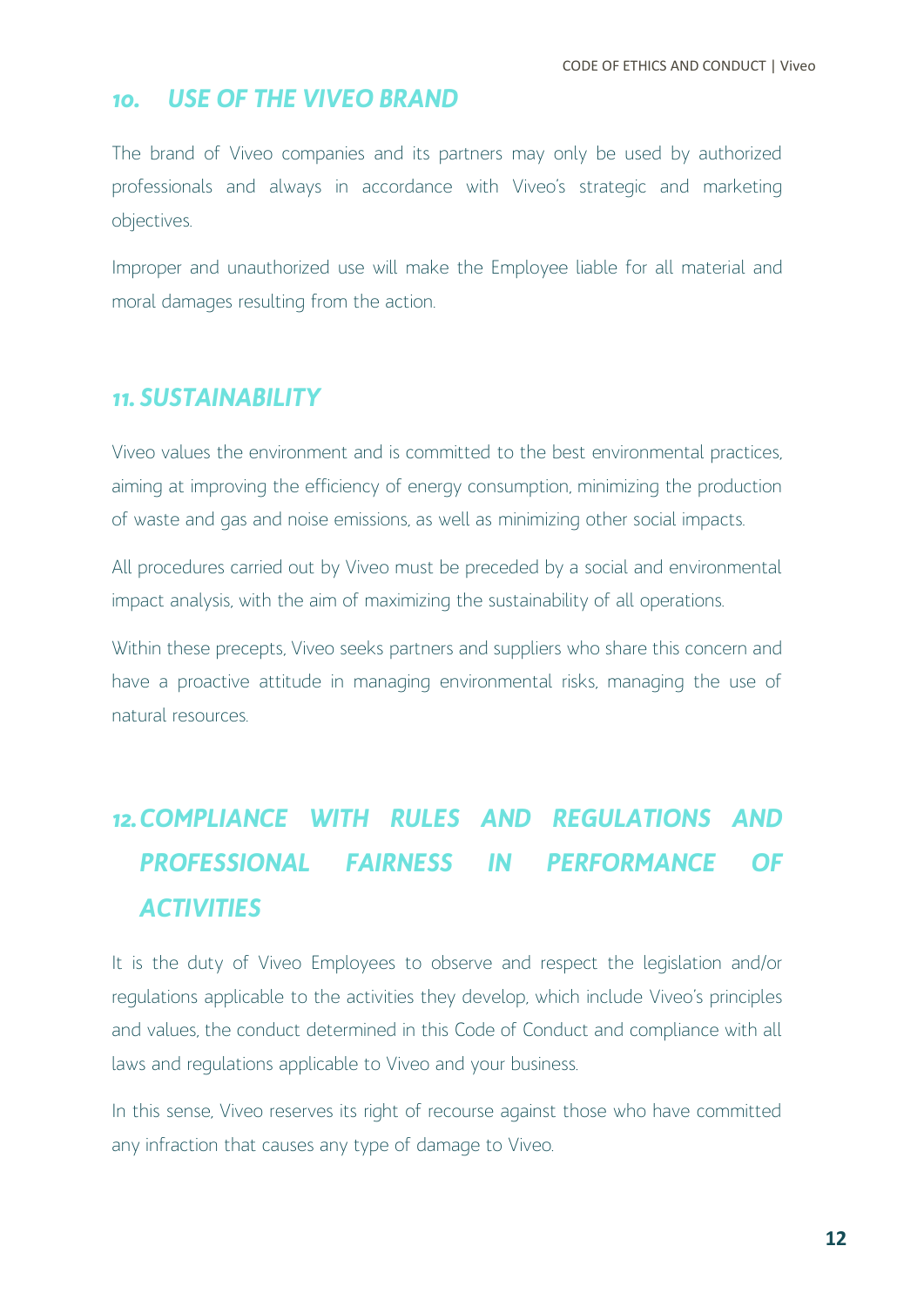#### <span id="page-12-0"></span>*10. USE OF THE VIVEO BRAND*

The brand of Viveo companies and its partners may only be used by authorized professionals and always in accordance with Viveo's strategic and marketing objectives.

Improper and unauthorized use will make the Employee liable for all material and moral damages resulting from the action.

#### <span id="page-12-1"></span>*11. SUSTAINABILITY*

Viveo values the environment and is committed to the best environmental practices, aiming at improving the efficiency of energy consumption, minimizing the production of waste and gas and noise emissions, as well as minimizing other social impacts.

All procedures carried out by Viveo must be preceded by a social and environmental impact analysis, with the aim of maximizing the sustainability of all operations.

Within these precepts, Viveo seeks partners and suppliers who share this concern and have a proactive attitude in managing environmental risks, managing the use of natural resources.

# <span id="page-12-2"></span>*12.COMPLIANCE WITH RULES AND REGULATIONS AND PROFESSIONAL FAIRNESS IN PERFORMANCE OF ACTIVITIES*

It is the duty of Viveo Employees to observe and respect the legislation and/or regulations applicable to the activities they develop, which include Viveo's principles and values, the conduct determined in this Code of Conduct and compliance with all laws and regulations applicable to Viveo and your business.

In this sense, Viveo reserves its right of recourse against those who have committed any infraction that causes any type of damage to Viveo.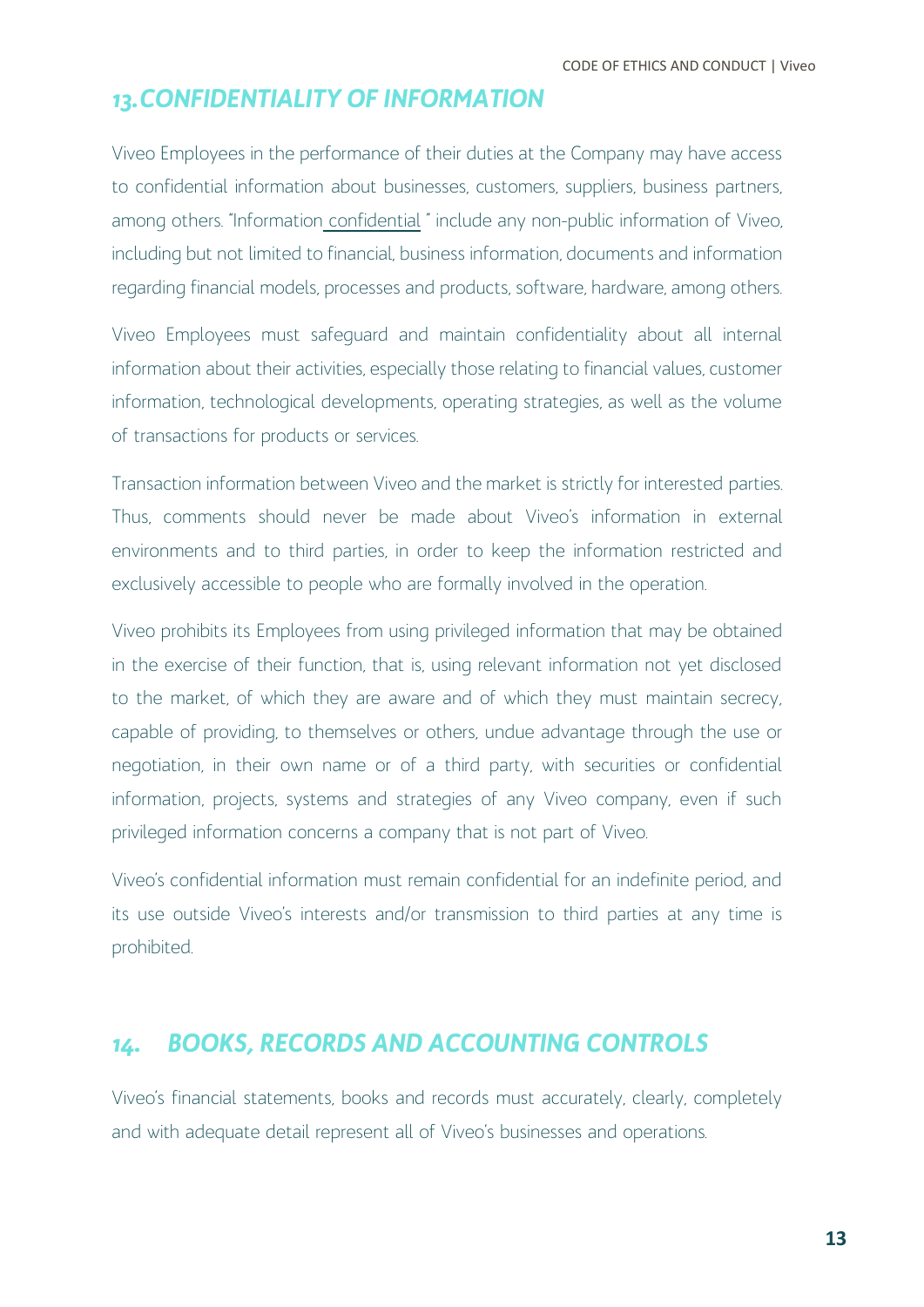#### <span id="page-13-0"></span>*13.CONFIDENTIALITY OF INFORMATION*

Viveo Employees in the performance of their duties at the Company may have access to confidential information about businesses, customers, suppliers, business partners, among others. "Information confidential " include any non-public information of Viveo, including but not limited to financial, business information, documents and information regarding financial models, processes and products, software, hardware, among others.

Viveo Employees must safeguard and maintain confidentiality about all internal information about their activities, especially those relating to financial values, customer information, technological developments, operating strategies, as well as the volume of transactions for products or services.

Transaction information between Viveo and the market is strictly for interested parties. Thus, comments should never be made about Viveo's information in external environments and to third parties, in order to keep the information restricted and exclusively accessible to people who are formally involved in the operation.

Viveo prohibits its Employees from using privileged information that may be obtained in the exercise of their function, that is, using relevant information not yet disclosed to the market, of which they are aware and of which they must maintain secrecy, capable of providing, to themselves or others, undue advantage through the use or negotiation, in their own name or of a third party, with securities or confidential information, projects, systems and strategies of any Viveo company, even if such privileged information concerns a company that is not part of Viveo.

Viveo's confidential information must remain confidential for an indefinite period, and its use outside Viveo's interests and/or transmission to third parties at any time is prohibited.

#### <span id="page-13-1"></span>*14. BOOKS, RECORDS AND ACCOUNTING CONTROLS*

Viveo's financial statements, books and records must accurately, clearly, completely and with adequate detail represent all of Viveo's businesses and operations.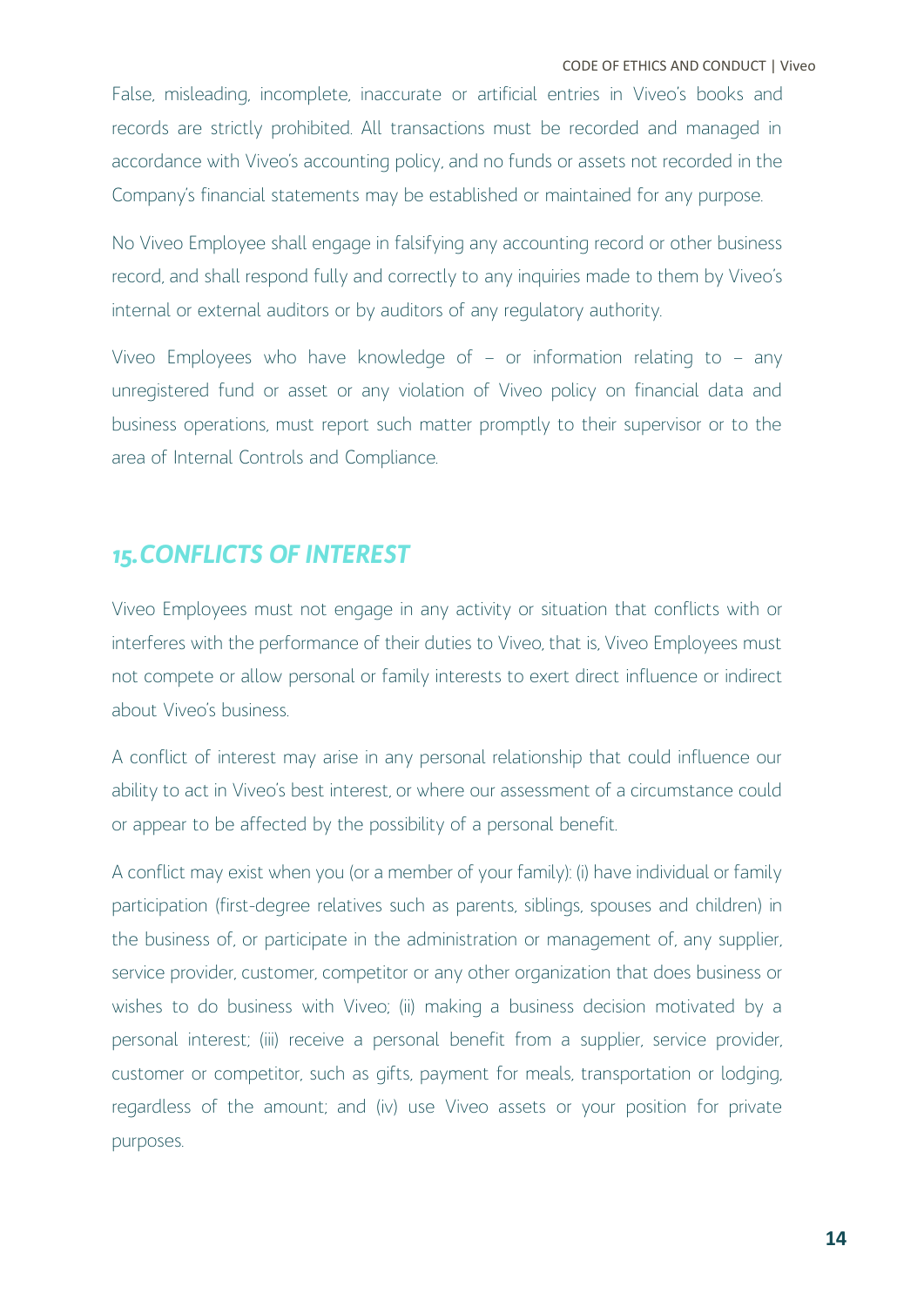CODE OF ETHICS AND CONDUCT | Viveo

False, misleading, incomplete, inaccurate or artificial entries in Viveo's books and records are strictly prohibited. All transactions must be recorded and managed in accordance with Viveo's accounting policy, and no funds or assets not recorded in the Company's financial statements may be established or maintained for any purpose.

No Viveo Employee shall engage in falsifying any accounting record or other business record, and shall respond fully and correctly to any inquiries made to them by Viveo's internal or external auditors or by auditors of any regulatory authority.

Viveo Employees who have knowledge of – or information relating to – any unregistered fund or asset or any violation of Viveo policy on financial data and business operations, must report such matter promptly to their supervisor or to the area of Internal Controls and Compliance.

## <span id="page-14-0"></span>*15.CONFLICTS OF INTEREST*

Viveo Employees must not engage in any activity or situation that conflicts with or interferes with the performance of their duties to Viveo, that is, Viveo Employees must not compete or allow personal or family interests to exert direct influence or indirect about Viveo's business.

A conflict of interest may arise in any personal relationship that could influence our ability to act in Viveo's best interest, or where our assessment of a circumstance could or appear to be affected by the possibility of a personal benefit.

A conflict may exist when you (or a member of your family): (i) have individual or family participation (first-degree relatives such as parents, siblings, spouses and children) in the business of, or participate in the administration or management of, any supplier, service provider, customer, competitor or any other organization that does business or wishes to do business with Viveo; (ii) making a business decision motivated by a personal interest; (iii) receive a personal benefit from a supplier, service provider, customer or competitor, such as gifts, payment for meals, transportation or lodging, regardless of the amount; and (iv) use Viveo assets or your position for private purposes.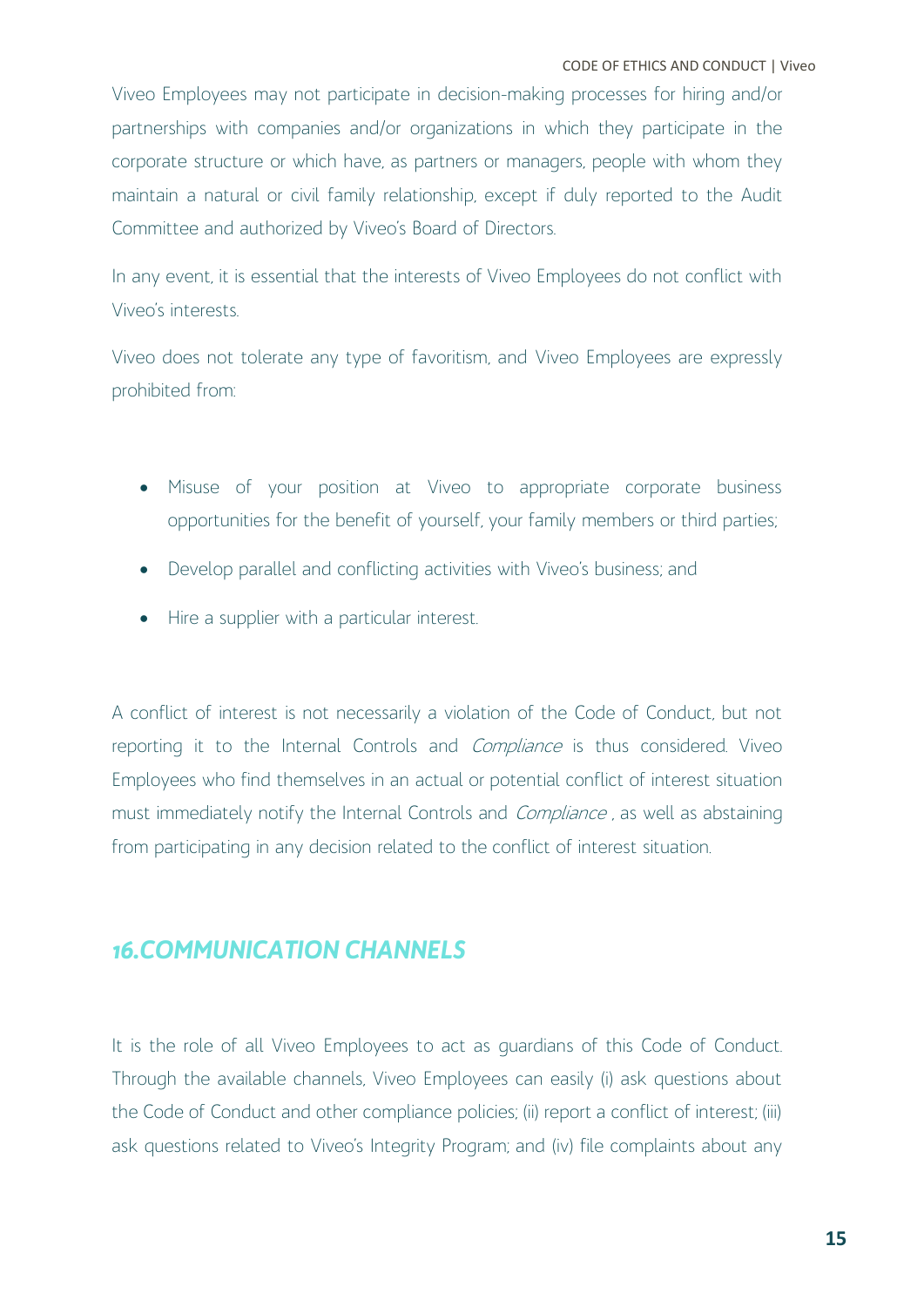Viveo Employees may not participate in decision-making processes for hiring and/or partnerships with companies and/or organizations in which they participate in the corporate structure or which have, as partners or managers, people with whom they maintain a natural or civil family relationship, except if duly reported to the Audit Committee and authorized by Viveo's Board of Directors.

In any event, it is essential that the interests of Viveo Employees do not conflict with Viveo's interests.

Viveo does not tolerate any type of favoritism, and Viveo Employees are expressly prohibited from:

- Misuse of your position at Viveo to appropriate corporate business opportunities for the benefit of yourself, your family members or third parties;
- Develop parallel and conflicting activities with Viveo's business; and
- Hire a supplier with a particular interest.

A conflict of interest is not necessarily a violation of the Code of Conduct, but not reporting it to the Internal Controls and *Compliance* is thus considered. Viveo Employees who find themselves in an actual or potential conflict of interest situation must immediately notify the Internal Controls and *Compliance*, as well as abstaining from participating in any decision related to the conflict of interest situation.

## <span id="page-15-0"></span>*16.COMMUNICATION CHANNELS*

It is the role of all Viveo Employees to act as guardians of this Code of Conduct. Through the available channels, Viveo Employees can easily (i) ask questions about the Code of Conduct and other compliance policies; (ii) report a conflict of interest; (iii) ask questions related to Viveo's Integrity Program; and (iv) file complaints about any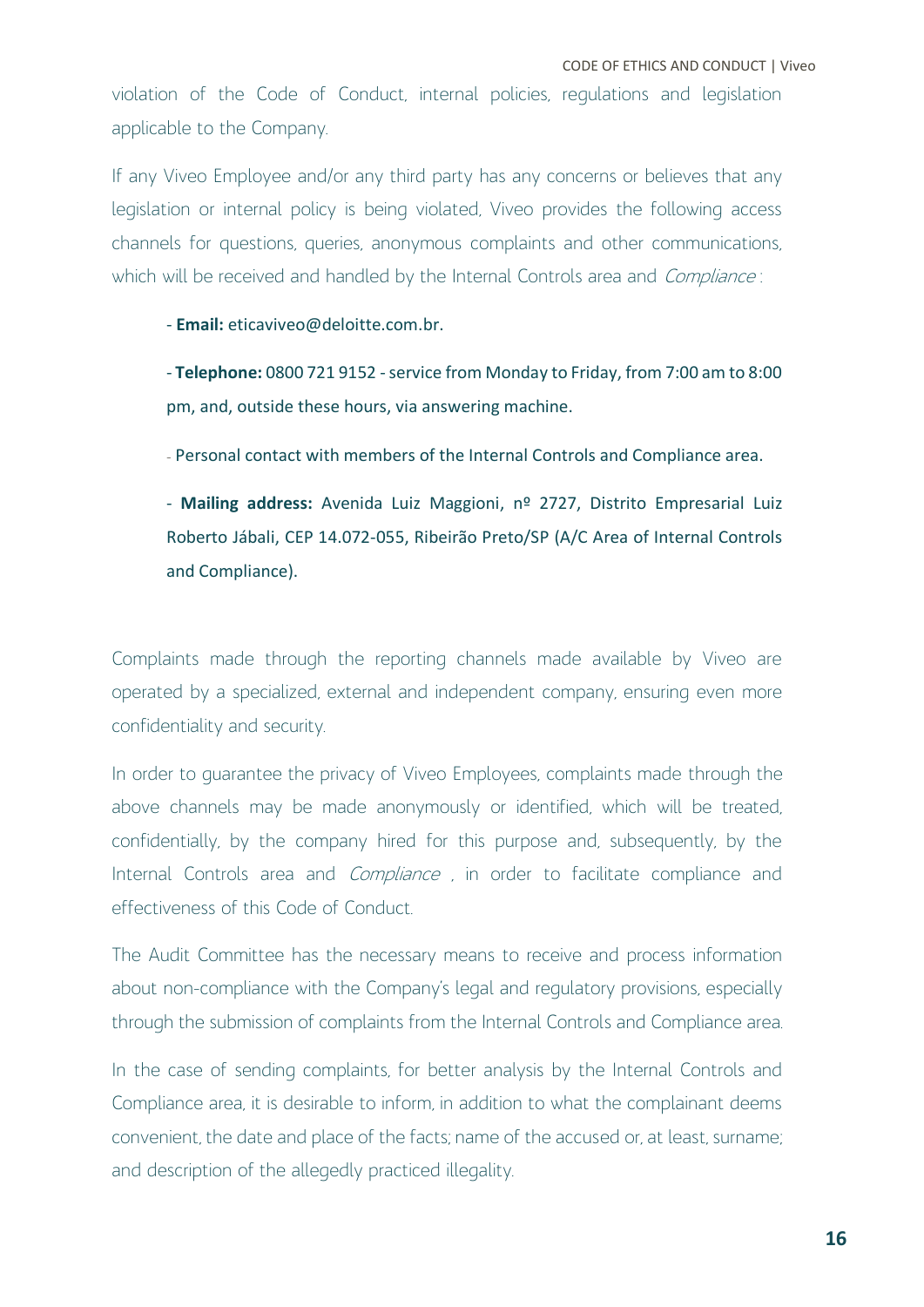violation of the Code of Conduct, internal policies, regulations and legislation applicable to the Company.

If any Viveo Employee and/or any third party has any concerns or believes that any legislation or internal policy is being violated, Viveo provides the following access channels for questions, queries, anonymous complaints and other communications, which will be received and handled by the Internal Controls area and *Compliance*:

- **Email:** eticaviveo@deloitte.com.br.

- **Telephone:** 0800 721 9152 - service from Monday to Friday, from 7:00 am to 8:00 pm, and, outside these hours, via answering machine.

- Personal contact with members of the Internal Controls and Compliance area.

- **Mailing address:** Avenida Luiz Maggioni, nº 2727, Distrito Empresarial Luiz Roberto Jábali, CEP 14.072-055, Ribeirão Preto/SP (A/C Area of Internal Controls and Compliance).

Complaints made through the reporting channels made available by Viveo are operated by a specialized, external and independent company, ensuring even more confidentiality and security.

In order to guarantee the privacy of Viveo Employees, complaints made through the above channels may be made anonymously or identified, which will be treated, confidentially, by the company hired for this purpose and, subsequently, by the Internal Controls area and *Compliance*, in order to facilitate compliance and effectiveness of this Code of Conduct.

The Audit Committee has the necessary means to receive and process information about non-compliance with the Company's legal and regulatory provisions, especially through the submission of complaints from the Internal Controls and Compliance area.

In the case of sending complaints, for better analysis by the Internal Controls and Compliance area, it is desirable to inform, in addition to what the complainant deems convenient, the date and place of the facts; name of the accused or, at least, surname; and description of the allegedly practiced illegality.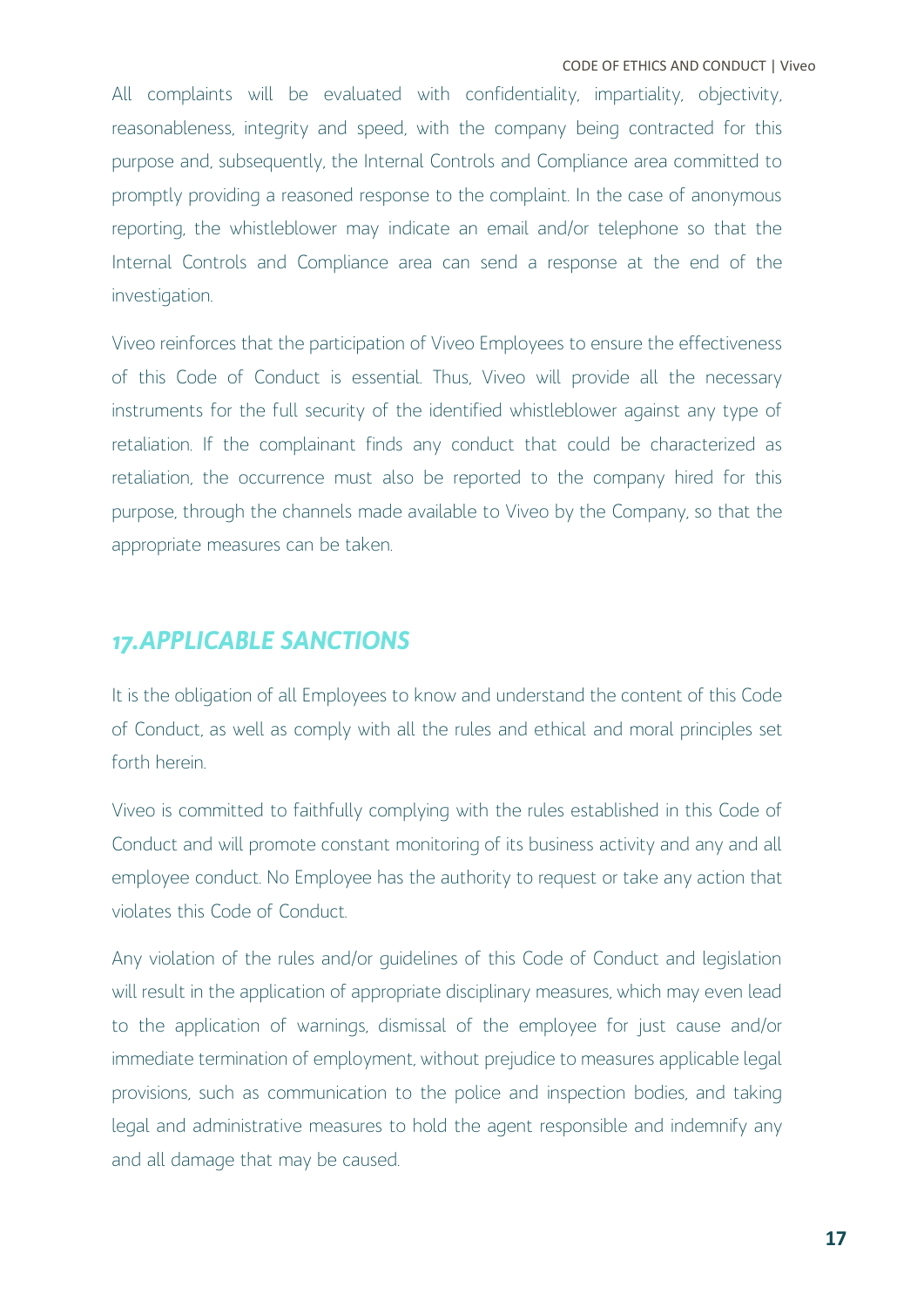CODE OF ETHICS AND CONDUCT | Viveo

All complaints will be evaluated with confidentiality, impartiality, objectivity, reasonableness, integrity and speed, with the company being contracted for this purpose and, subsequently, the Internal Controls and Compliance area committed to promptly providing a reasoned response to the complaint. In the case of anonymous reporting, the whistleblower may indicate an email and/or telephone so that the Internal Controls and Compliance area can send a response at the end of the investigation.

Viveo reinforces that the participation of Viveo Employees to ensure the effectiveness of this Code of Conduct is essential. Thus, Viveo will provide all the necessary instruments for the full security of the identified whistleblower against any type of retaliation. If the complainant finds any conduct that could be characterized as retaliation, the occurrence must also be reported to the company hired for this purpose, through the channels made available to Viveo by the Company, so that the appropriate measures can be taken.

## <span id="page-17-0"></span>*17.APPLICABLE SANCTIONS*

It is the obligation of all Employees to know and understand the content of this Code of Conduct, as well as comply with all the rules and ethical and moral principles set forth herein.

Viveo is committed to faithfully complying with the rules established in this Code of Conduct and will promote constant monitoring of its business activity and any and all employee conduct. No Employee has the authority to request or take any action that violates this Code of Conduct.

Any violation of the rules and/or guidelines of this Code of Conduct and legislation will result in the application of appropriate disciplinary measures, which may even lead to the application of warnings, dismissal of the employee for just cause and/or immediate termination of employment, without prejudice to measures applicable legal provisions, such as communication to the police and inspection bodies, and taking legal and administrative measures to hold the agent responsible and indemnify any and all damage that may be caused.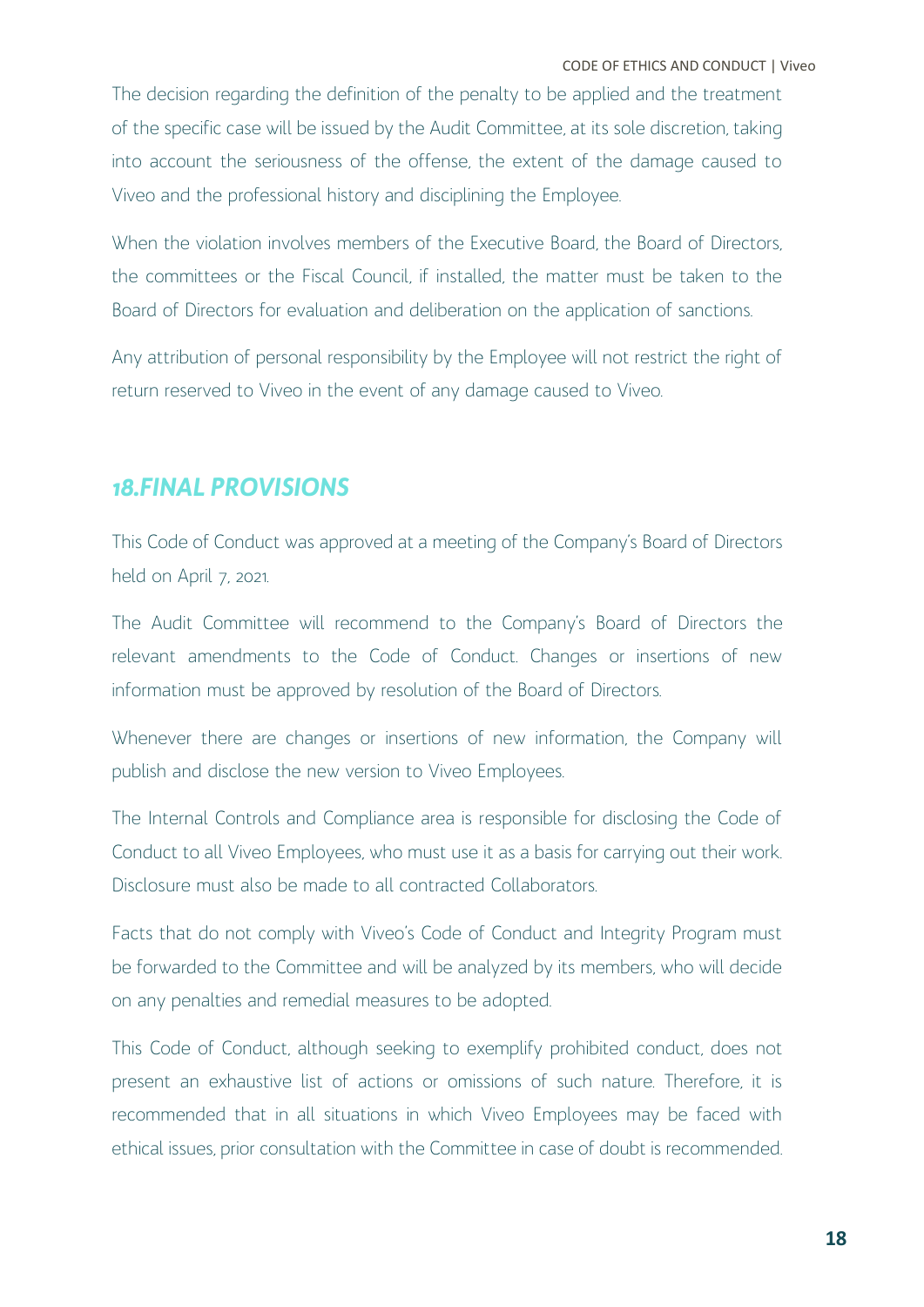CODE OF ETHICS AND CONDUCT | Viveo

The decision regarding the definition of the penalty to be applied and the treatment of the specific case will be issued by the Audit Committee, at its sole discretion, taking into account the seriousness of the offense, the extent of the damage caused to Viveo and the professional history and disciplining the Employee.

When the violation involves members of the Executive Board, the Board of Directors, the committees or the Fiscal Council, if installed, the matter must be taken to the Board of Directors for evaluation and deliberation on the application of sanctions.

Any attribution of personal responsibility by the Employee will not restrict the right of return reserved to Viveo in the event of any damage caused to Viveo.

#### <span id="page-18-0"></span>*18.FINAL PROVISIONS*

This Code of Conduct was approved at a meeting of the Company's Board of Directors held on April 7, 2021.

The Audit Committee will recommend to the Company's Board of Directors the relevant amendments to the Code of Conduct. Changes or insertions of new information must be approved by resolution of the Board of Directors.

Whenever there are changes or insertions of new information, the Company will publish and disclose the new version to Viveo Employees.

The Internal Controls and Compliance area is responsible for disclosing the Code of Conduct to all Viveo Employees, who must use it as a basis for carrying out their work. Disclosure must also be made to all contracted Collaborators.

Facts that do not comply with Viveo's Code of Conduct and Integrity Program must be forwarded to the Committee and will be analyzed by its members, who will decide on any penalties and remedial measures to be adopted.

This Code of Conduct, although seeking to exemplify prohibited conduct, does not present an exhaustive list of actions or omissions of such nature. Therefore, it is recommended that in all situations in which Viveo Employees may be faced with ethical issues, prior consultation with the Committee in case of doubt is recommended.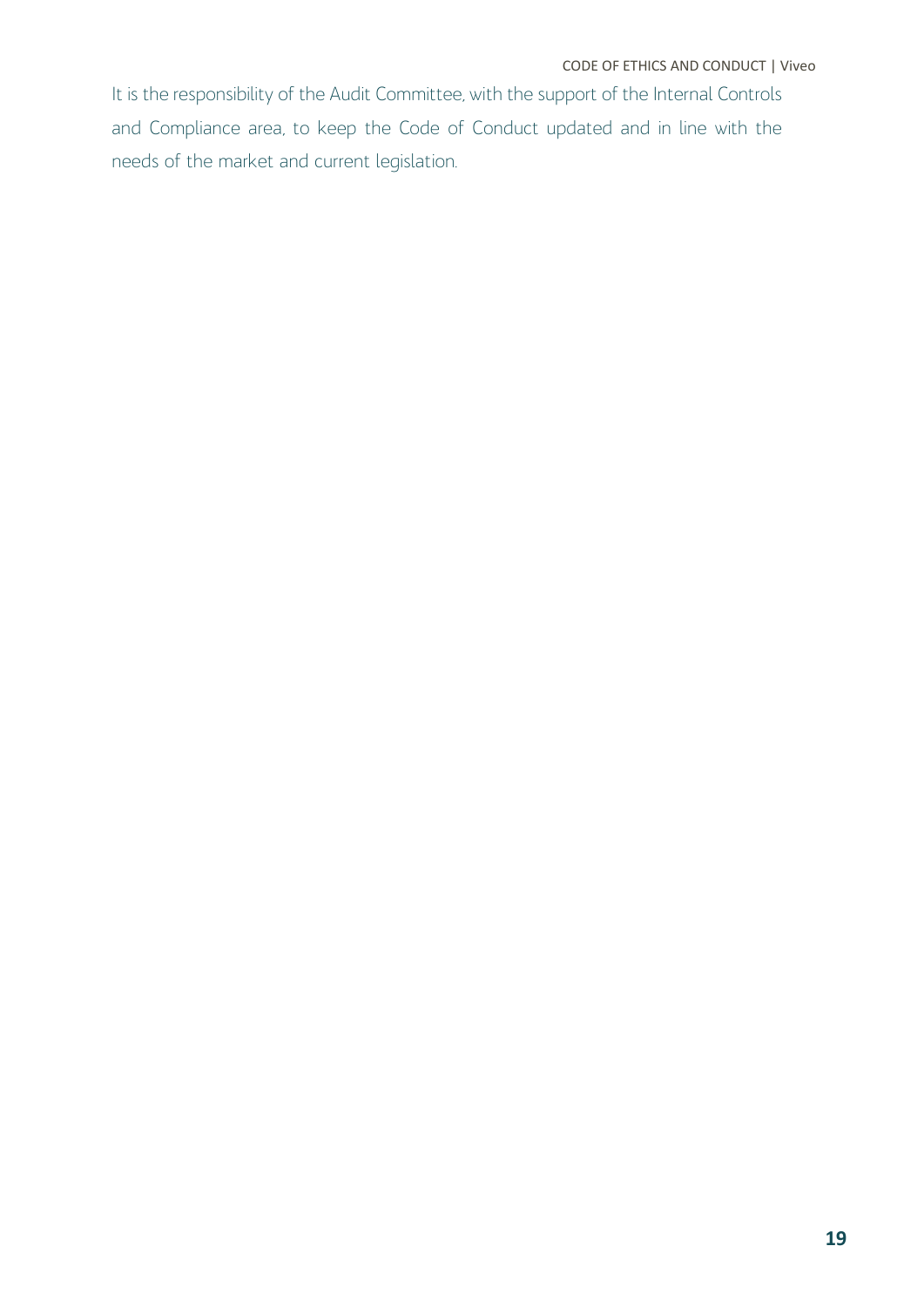It is the responsibility of the Audit Committee, with the support of the Internal Controls and Compliance area, to keep the Code of Conduct updated and in line with the needs of the market and current legislation.